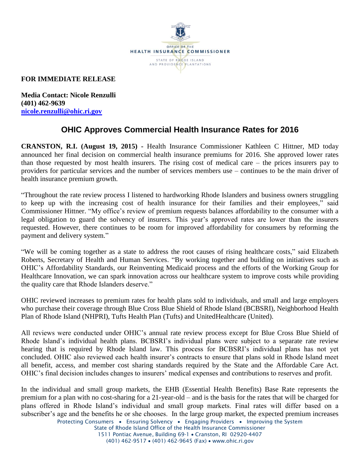

## **FOR IMMEDIATE RELEASE**

**Media Contact: Nicole Renzulli (401) 462-9639 [nicole.renzulli@ohic.ri.gov](mailto:nicole.renzulli@ohic.ri.gov)**

# **OHIC Approves Commercial Health Insurance Rates for 2016**

**CRANSTON, R.I. (August 19, 2015) -** Health Insurance Commissioner Kathleen C Hittner, MD today announced her final decision on commercial health insurance premiums for 2016. She approved lower rates than those requested by most health insurers. The rising cost of medical care – the prices insurers pay to providers for particular services and the number of services members use – continues to be the main driver of health insurance premium growth.

"Throughout the rate review process I listened to hardworking Rhode Islanders and business owners struggling to keep up with the increasing cost of health insurance for their families and their employees," said Commissioner Hittner. "My office's review of premium requests balances affordability to the consumer with a legal obligation to guard the solvency of insurers. This year's approved rates are lower than the insurers requested. However, there continues to be room for improved affordability for consumers by reforming the payment and delivery system."

"We will be coming together as a state to address the root causes of rising healthcare costs," said Elizabeth Roberts, Secretary of Health and Human Services. "By working together and building on initiatives such as OHIC's Affordability Standards, our Reinventing Medicaid process and the efforts of the Working Group for Healthcare Innovation, we can spark innovation across our healthcare system to improve costs while providing the quality care that Rhode Islanders deserve."

OHIC reviewed increases to premium rates for health plans sold to individuals, and small and large employers who purchase their coverage through Blue Cross Blue Shield of Rhode Island (BCBSRI), Neighborhood Health Plan of Rhode Island (NHPRI), Tufts Health Plan (Tufts) and UnitedHealthcare (United).

All reviews were conducted under OHIC's annual rate review process except for Blue Cross Blue Shield of Rhode Island's individual health plans. BCBSRI's individual plans were subject to a separate rate review hearing that is required by Rhode Island law. This process for BCBSRI's individual plans has not yet concluded. OHIC also reviewed each health insurer's contracts to ensure that plans sold in Rhode Island meet all benefit, access, and member cost sharing standards required by the State and the Affordable Care Act. OHIC's final decision includes changes to insurers' medical expenses and contributions to reserves and profit.

In the individual and small group markets, the EHB (Essential Health Benefits) Base Rate represents the premium for a plan with no cost-sharing for a 21-year-old – and is the basis for the rates that will be charged for plans offered in Rhode Island's individual and small group markets. Final rates will differ based on a subscriber's age and the benefits he or she chooses. In the large group market, the expected premium increases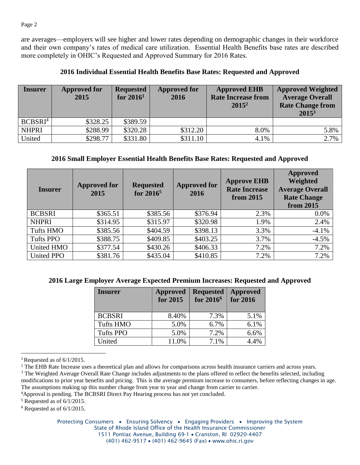are averages—employers will see higher and lower rates depending on demographic changes in their workforce and their own company's rates of medical care utilization. Essential Health Benefits base rates are described more completely in OHIC's Requested and Approved Summary for 2016 Rates.

#### **2016 Individual Essential Health Benefits Base Rates: Requested and Approved**

| <b>Insurer</b>      | <b>Approved for</b><br>2015 | <b>Requested</b><br>for $20161$ | <b>Approved for</b><br>2016 | <b>Approved EHB</b><br><b>Rate Increase from</b><br>$2015^2$ | <b>Approved Weighted</b><br><b>Average Overall</b><br><b>Rate Change from</b><br>$2015^3$ |
|---------------------|-----------------------------|---------------------------------|-----------------------------|--------------------------------------------------------------|-------------------------------------------------------------------------------------------|
| BCBSRI <sup>4</sup> | \$328.25                    | \$389.59                        |                             |                                                              |                                                                                           |
| <b>NHPRI</b>        | \$288.99                    | \$320.28                        | \$312.20                    | 8.0%                                                         | 5.8%                                                                                      |
| United              | \$298.77                    | \$331.80                        | \$311.10                    | 4.1%                                                         | 2.7%                                                                                      |

### **2016 Small Employer Essential Health Benefits Base Rates: Requested and Approved**

| <b>Insurer</b>    | <b>Approved for</b><br>2015 | <b>Requested</b><br>for $2016^5$ | <b>Approved for</b><br>2016 | <b>Approve EHB</b><br><b>Rate Increase</b><br>from 2015 | Approved<br>Weighted<br><b>Average Overall</b><br><b>Rate Change</b><br>from 2015 |
|-------------------|-----------------------------|----------------------------------|-----------------------------|---------------------------------------------------------|-----------------------------------------------------------------------------------|
| <b>BCBSRI</b>     | \$365.51                    | \$385.56                         | \$376.94                    | 2.3%                                                    | 0.0%                                                                              |
| <b>NHPRI</b>      | \$314.95                    | \$315.97                         | \$320.98                    | 1.9%                                                    | 2.4%                                                                              |
| <b>Tufts HMO</b>  | \$385.56                    | \$404.59                         | \$398.13                    | 3.3%                                                    | $-4.1%$                                                                           |
| <b>Tufts PPO</b>  | \$388.75                    | \$409.85                         | \$403.25                    | 3.7%                                                    | $-4.5%$                                                                           |
| United HMO        | \$377.54                    | \$430.26                         | \$406.33                    | 7.2%                                                    | 7.2%                                                                              |
| <b>United PPO</b> | \$381.76                    | \$435.04                         | \$410.85                    | 7.2%                                                    | 7.2%                                                                              |

#### **2016 Large Employer Average Expected Premium Increases: Requested and Approved**

| <b>Insurer</b>   | Approved<br>for 2015 | <b>Requested</b><br>for 2016 <sup>6</sup> | <b>Approved</b><br>for 2016 |
|------------------|----------------------|-------------------------------------------|-----------------------------|
| <b>BCBSRI</b>    | 8.40%                | 7.3%                                      | 5.1%                        |
| <b>Tufts HMO</b> | 5.0%                 | 6.7%                                      | 6.1%                        |
| <b>Tufts PPO</b> | 5.0%                 | 7.2%                                      | 6.6%                        |
| United           | 11.0%                | 7.1%                                      | 4.4%                        |

<sup>&</sup>lt;sup>1</sup>Requested as of  $6/1/2015$ .

 $\overline{\phantom{a}}$ 

Protecting Consumers • Ensuring Solvency • Engaging Providers • Improving the System State of Rhode Island Office of the Health Insurance Commissioner 1511 Pontiac Avenue, Building 69-1 . Cranston, RI 02920-4407 (401) 462-9517 • (401) 462-9645 (Fax) • www.ohic.ri.gov

<sup>&</sup>lt;sup>2</sup> The EHB Rate Increase uses a theoretical plan and allows for comparisons across health insurance carriers and across years.

<sup>&</sup>lt;sup>3</sup> The Weighted Average Overall Rate Change includes adjustments to the plans offered to reflect the benefits selected, including modifications to prior year benefits and pricing. This is the average premium increase to consumers, before reflecting changes in age. The assumptions making up this number change from year to year and change from carrier to carrier.

<sup>4</sup>Approval is pending. The BCBSRI Direct Pay Hearing process has not yet concluded.

 $5$  Requested as of  $6/1/2015$ .

 $6$  Requested as of  $6/1/2015$ .